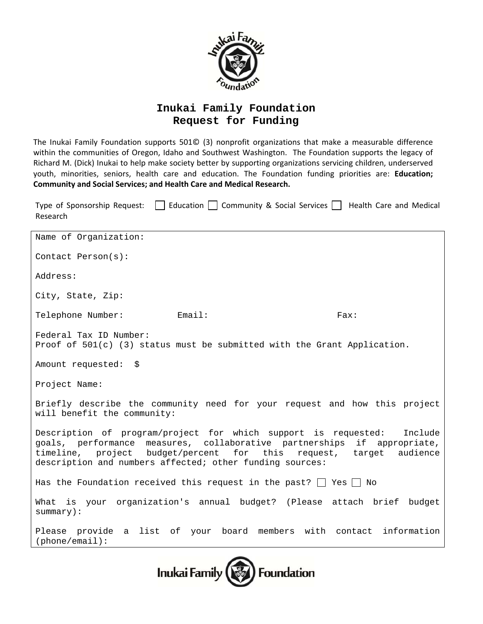

## **Inukai Family Foundation Request for Funding**

The Inukai Family Foundation supports 501© (3) nonprofit organizations that make a measurable difference within the communities of Oregon, Idaho and Southwest Washington. The Foundation supports the legacy of Richard M. (Dick) Inukai to help make society better by supporting organizations servicing children, underserved youth, minorities, seniors, health care and education. The Foundation funding priorities are: **Education; Community and Social Services; and Health Care and Medical Research.**

Type of Sponsorship Request:  $\Box$  Education  $\Box$  Community & Social Services  $\Box$  Health Care and Medical Research

| Name of Organization:                                                                                                                                                                                                                                                                  |  |      |
|----------------------------------------------------------------------------------------------------------------------------------------------------------------------------------------------------------------------------------------------------------------------------------------|--|------|
| Contact Person(s):                                                                                                                                                                                                                                                                     |  |      |
| Address:                                                                                                                                                                                                                                                                               |  |      |
| City, State, Zip:                                                                                                                                                                                                                                                                      |  |      |
| Telephone Number: Email:                                                                                                                                                                                                                                                               |  | Fax: |
| Federal Tax ID Number:<br>Proof of $501(c)$ (3) status must be submitted with the Grant Application.                                                                                                                                                                                   |  |      |
| Amount requested: \$                                                                                                                                                                                                                                                                   |  |      |
| Project Name:                                                                                                                                                                                                                                                                          |  |      |
| Briefly describe the community need for your request and how this project<br>will benefit the community:                                                                                                                                                                               |  |      |
| Description of program/project for which support is requested:<br>Include<br>goals, performance measures, collaborative partnerships if appropriate,<br>timeline, project budget/percent for this request, target audience<br>description and numbers affected; other funding sources: |  |      |
| Has the Foundation received this request in the past? $\Box$ Yes $\Box$ No                                                                                                                                                                                                             |  |      |
| What is your organization's annual budget? (Please attach brief budget<br>$summary$ ):                                                                                                                                                                                                 |  |      |
| Please provide a list of your board members with contact information<br>(phone/email):                                                                                                                                                                                                 |  |      |